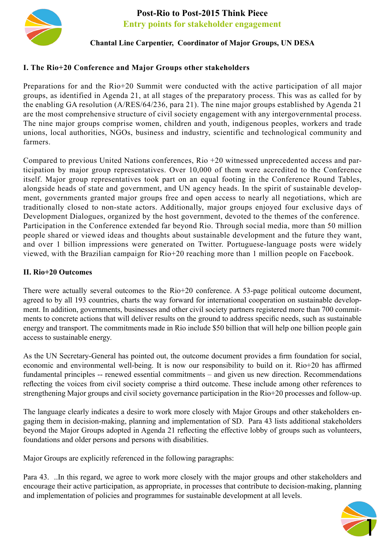

# **Post-Rio to Post-2015 Think Piece Entry points for stakeholder engagement**

**Chantal Line Carpentier, Coordinator of Major Groups, UN DESA**

# **I. The Rio+20 Conference and Major Groups other stakeholders**

Preparations for and the Rio+20 Summit were conducted with the active participation of all major groups, as identified in Agenda 21, at all stages of the preparatory process. This was as called for by the enabling GA resolution (A/RES/64/236, para 21). The nine major groups established by Agenda 21 are the most comprehensive structure of civil society engagement with any intergovernmental process. The nine major groups comprise women, children and youth, indigenous peoples, workers and trade unions, local authorities, NGOs, business and industry, scientific and technological community and farmers.

Compared to previous United Nations conferences, Rio +20 witnessed unprecedented access and participation by major group representatives. Over 10,000 of them were accredited to the Conference itself. Major group representatives took part on an equal footing in the Conference Round Tables, alongside heads of state and government, and UN agency heads. In the spirit of sustainable development, governments granted major groups free and open access to nearly all negotiations, which are traditionally closed to non-state actors. Additionally, major groups enjoyed four exclusive days of Development Dialogues, organized by the host government, devoted to the themes of the conference. Participation in the Conference extended far beyond Rio. Through social media, more than 50 million people shared or viewed ideas and thoughts about sustainable development and the future they want, and over 1 billion impressions were generated on Twitter. Portuguese-language posts were widely viewed, with the Brazilian campaign for Rio+20 reaching more than 1 million people on Facebook.

# **II. Rio+20 Outcomes**

There were actually several outcomes to the Rio+20 conference. A 53-page political outcome document, agreed to by all 193 countries, charts the way forward for international cooperation on sustainable development. In addition, governments, businesses and other civil society partners registered more than 700 commitments to concrete actions that will deliver results on the ground to address specific needs, such as sustainable energy and transport. The commitments made in Rio include \$50 billion that will help one billion people gain access to sustainable energy.

As the UN Secretary-General has pointed out, the outcome document provides a firm foundation for social, economic and environmental well-being. It is now our responsibility to build on it. Rio+20 has affirmed fundamental principles -- renewed essential commitments – and given us new direction. Recommendations reflecting the voices from civil society comprise a third outcome. These include among other references to strengthening Major groups and civil society governance participation in the Rio+20 processes and follow-up.

The language clearly indicates a desire to work more closely with Major Groups and other stakeholders engaging them in decision-making, planning and implementation of SD. Para 43 lists additional stakeholders beyond the Major Groups adopted in Agenda 21 reflecting the effective lobby of groups such as volunteers, foundations and older persons and persons with disabilities.

Major Groups are explicitly referenced in the following paragraphs:

Para 43. ..In this regard, we agree to work more closely with the major groups and other stakeholders and encourage their active participation, as appropriate, in processes that contribute to decision-making, planning and implementation of policies and programmes for sustainable development at all levels.

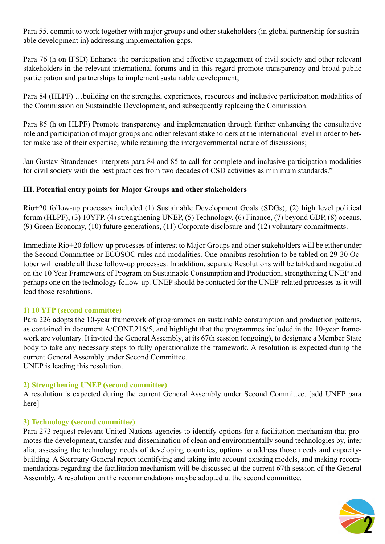Para 55. commit to work together with major groups and other stakeholders (in global partnership for sustainable development in) addressing implementation gaps.

Para 76 (h on IFSD) Enhance the participation and effective engagement of civil society and other relevant stakeholders in the relevant international forums and in this regard promote transparency and broad public participation and partnerships to implement sustainable development;

Para 84 (HLPF) …building on the strengths, experiences, resources and inclusive participation modalities of the Commission on Sustainable Development, and subsequently replacing the Commission.

Para 85 (h on HLPF) Promote transparency and implementation through further enhancing the consultative role and participation of major groups and other relevant stakeholders at the international level in order to better make use of their expertise, while retaining the intergovernmental nature of discussions;

Jan Gustav Strandenaes interprets para 84 and 85 to call for complete and inclusive participation modalities for civil society with the best practices from two decades of CSD activities as minimum standards."

## **III. Potential entry points for Major Groups and other stakeholders**

Rio+20 follow-up processes included (1) Sustainable Development Goals (SDGs), (2) high level political forum (HLPF), (3) 10YFP, (4) strengthening UNEP, (5) Technology, (6) Finance, (7) beyond GDP, (8) oceans, (9) Green Economy, (10) future generations, (11) Corporate disclosure and (12) voluntary commitments.

Immediate Rio+20 follow-up processes of interest to Major Groups and other stakeholders will be either under the Second Committee or ECOSOC rules and modalities. One omnibus resolution to be tabled on 29-30 October will enable all these follow-up processes. In addition, separate Resolutions will be tabled and negotiated on the 10 Year Framework of Program on Sustainable Consumption and Production, strengthening UNEP and perhaps one on the technology follow-up. UNEP should be contacted for the UNEP-related processes as it will lead those resolutions.

## **1) 10 YFP (second committee)**

Para 226 adopts the 10-year framework of programmes on sustainable consumption and production patterns, as contained in document A/CONF.216/5, and highlight that the programmes included in the 10-year framework are voluntary. It invited the General Assembly, at its 67th session (ongoing), to designate a Member State body to take any necessary steps to fully operationalize the framework. A resolution is expected during the current General Assembly under Second Committee.

UNEP is leading this resolution.

## **2) Strengthening UNEP (second committee)**

A resolution is expected during the current General Assembly under Second Committee. [add UNEP para here]

## **3) Technology (second committee)**

Para 273 request relevant United Nations agencies to identify options for a facilitation mechanism that promotes the development, transfer and dissemination of clean and environmentally sound technologies by, inter alia, assessing the technology needs of developing countries, options to address those needs and capacitybuilding. A Secretary General report identifying and taking into account existing models, and making recommendations regarding the facilitation mechanism will be discussed at the current 67th session of the General Assembly. A resolution on the recommendations maybe adopted at the second committee.

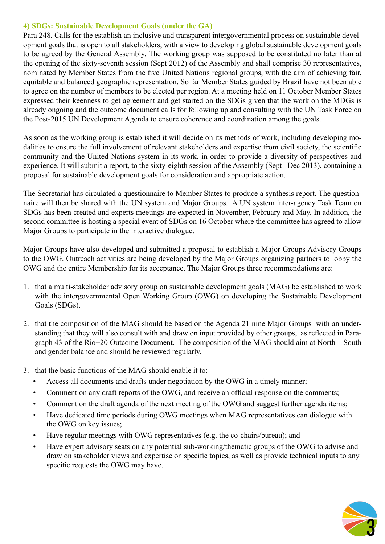#### **4) SDGs: Sustainable Development Goals (under the GA)**

Para 248. Calls for the establish an inclusive and transparent intergovernmental process on sustainable development goals that is open to all stakeholders, with a view to developing global sustainable development goals to be agreed by the General Assembly. The working group was supposed to be constituted no later than at the opening of the sixty-seventh session (Sept 2012) of the Assembly and shall comprise 30 representatives, nominated by Member States from the five United Nations regional groups, with the aim of achieving fair, equitable and balanced geographic representation. So far Member States guided by Brazil have not been able to agree on the number of members to be elected per region. At a meeting held on 11 October Member States expressed their keenness to get agreement and get started on the SDGs given that the work on the MDGs is already ongoing and the outcome document calls for following up and consulting with the UN Task Force on the Post-2015 UN Development Agenda to ensure coherence and coordination among the goals.

As soon as the working group is established it will decide on its methods of work, including developing modalities to ensure the full involvement of relevant stakeholders and expertise from civil society, the scientific community and the United Nations system in its work, in order to provide a diversity of perspectives and experience. It will submit a report, to the sixty-eighth session of the Assembly (Sept –Dec 2013), containing a proposal for sustainable development goals for consideration and appropriate action.

The Secretariat has circulated a questionnaire to Member States to produce a synthesis report. The questionnaire will then be shared with the UN system and Major Groups. A UN system inter-agency Task Team on SDGs has been created and experts meetings are expected in November, February and May. In addition, the second committee is hosting a special event of SDGs on 16 October where the committee has agreed to allow Major Groups to participate in the interactive dialogue.

Major Groups have also developed and submitted a proposal to establish a Major Groups Advisory Groups to the OWG. Outreach activities are being developed by the Major Groups organizing partners to lobby the OWG and the entire Membership for its acceptance. The Major Groups three recommendations are:

- 1. that a multi-stakeholder advisory group on sustainable development goals (MAG) be established to work with the intergovernmental Open Working Group (OWG) on developing the Sustainable Development Goals (SDGs).
- 2. that the composition of the MAG should be based on the Agenda 21 nine Major Groups with an understanding that they will also consult with and draw on input provided by other groups, as reflected in Paragraph 43 of the Rio+20 Outcome Document. The composition of the MAG should aim at North – South and gender balance and should be reviewed regularly.
- 3. that the basic functions of the MAG should enable it to:
	- Access all documents and drafts under negotiation by the OWG in a timely manner;
	- Comment on any draft reports of the OWG, and receive an official response on the comments;
	- Comment on the draft agenda of the next meeting of the OWG and suggest further agenda items;
	- Have dedicated time periods during OWG meetings when MAG representatives can dialogue with the OWG on key issues;
	- Have regular meetings with OWG representatives (e.g. the co-chairs/bureau); and
	- Have expert advisory seats on any potential sub-working/thematic groups of the OWG to advise and draw on stakeholder views and expertise on specific topics, as well as provide technical inputs to any specific requests the OWG may have.

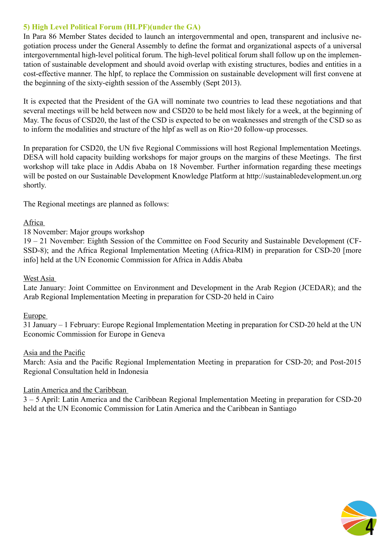## **5) High Level Political Forum (HLPF)(under the GA)**

In Para 86 Member States decided to launch an intergovernmental and open, transparent and inclusive negotiation process under the General Assembly to define the format and organizational aspects of a universal intergovernmental high-level political forum. The high-level political forum shall follow up on the implementation of sustainable development and should avoid overlap with existing structures, bodies and entities in a cost-effective manner. The hlpf, to replace the Commission on sustainable development will first convene at the beginning of the sixty-eighth session of the Assembly (Sept 2013).

It is expected that the President of the GA will nominate two countries to lead these negotiations and that several meetings will be held between now and CSD20 to be held most likely for a week, at the beginning of May. The focus of CSD20, the last of the CSD is expected to be on weaknesses and strength of the CSD so as to inform the modalities and structure of the hlpf as well as on Rio+20 follow-up processes.

In preparation for CSD20, the UN five Regional Commissions will host Regional Implementation Meetings. DESA will hold capacity building workshops for major groups on the margins of these Meetings. The first workshop will take place in Addis Ababa on 18 November. Further information regarding these meetings will be posted on our Sustainable Development Knowledge Platform at http://sustainabledevelopment.un.org shortly.

The Regional meetings are planned as follows:

## Africa

18 November: Major groups workshop

19 – 21 November: Eighth Session of the Committee on Food Security and Sustainable Development (CF-SSD-8); and the Africa Regional Implementation Meeting (Africa-RIM) in preparation for CSD-20 [more info] held at the UN Economic Commission for Africa in Addis Ababa

## West Asia

Late January: Joint Committee on Environment and Development in the Arab Region (JCEDAR); and the Arab Regional Implementation Meeting in preparation for CSD-20 held in Cairo

## Europe

31 January – 1 February: Europe Regional Implementation Meeting in preparation for CSD-20 held at the UN Economic Commission for Europe in Geneva

## Asia and the Pacific

March: Asia and the Pacific Regional Implementation Meeting in preparation for CSD-20; and Post-2015 Regional Consultation held in Indonesia

## Latin America and the Caribbean

3 – 5 April: Latin America and the Caribbean Regional Implementation Meeting in preparation for CSD-20 held at the UN Economic Commission for Latin America and the Caribbean in Santiago

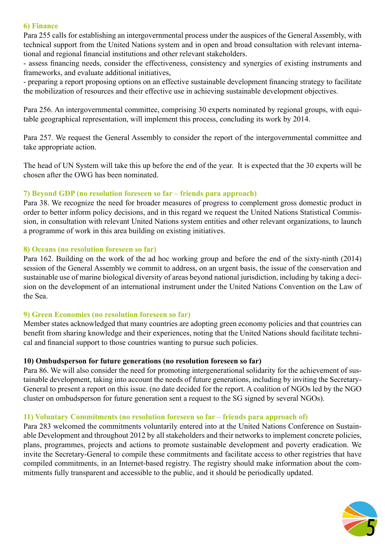#### **6) Finance**

Para 255 calls for establishing an intergovernmental process under the auspices of the General Assembly, with technical support from the United Nations system and in open and broad consultation with relevant international and regional financial institutions and other relevant stakeholders.

- assess financing needs, consider the effectiveness, consistency and synergies of existing instruments and frameworks, and evaluate additional initiatives,

- preparing a report proposing options on an effective sustainable development financing strategy to facilitate the mobilization of resources and their effective use in achieving sustainable development objectives.

Para 256. An intergovernmental committee, comprising 30 experts nominated by regional groups, with equitable geographical representation, will implement this process, concluding its work by 2014.

Para 257. We request the General Assembly to consider the report of the intergovernmental committee and take appropriate action.

The head of UN System will take this up before the end of the year. It is expected that the 30 experts will be chosen after the OWG has been nominated.

## **7) Beyond GDP (no resolution foreseen so far – friends para approach)**

Para 38. We recognize the need for broader measures of progress to complement gross domestic product in order to better inform policy decisions, and in this regard we request the United Nations Statistical Commission, in consultation with relevant United Nations system entities and other relevant organizations, to launch a programme of work in this area building on existing initiatives.

#### **8) Oceans (no resolution foreseen so far)**

Para 162. Building on the work of the ad hoc working group and before the end of the sixty-ninth (2014) session of the General Assembly we commit to address, on an urgent basis, the issue of the conservation and sustainable use of marine biological diversity of areas beyond national jurisdiction, including by taking a decision on the development of an international instrument under the United Nations Convention on the Law of the Sea.

## **9) Green Economies (no resolution foreseen so far)**

Member states acknowledged that many countries are adopting green economy policies and that countries can benefit from sharing knowledge and their experiences, noting that the United Nations should facilitate technical and financial support to those countries wanting to pursue such policies.

#### **10) Ombudsperson for future generations (no resolution foreseen so far)**

Para 86. We will also consider the need for promoting intergenerational solidarity for the achievement of sustainable development, taking into account the needs of future generations, including by inviting the Secretary-General to present a report on this issue. (no date decided for the report. A coalition of NGOs led by the NGO cluster on ombudsperson for future generation sent a request to the SG signed by several NGOs).

#### **11) Voluntary Commitments (no resolution foreseen so far – friends para approach of)**

Para 283 welcomed the commitments voluntarily entered into at the United Nations Conference on Sustainable Development and throughout 2012 by all stakeholders and their networks to implement concrete policies, plans, programmes, projects and actions to promote sustainable development and poverty eradication. We invite the Secretary-General to compile these commitments and facilitate access to other registries that have compiled commitments, in an Internet-based registry. The registry should make information about the commitments fully transparent and accessible to the public, and it should be periodically updated.